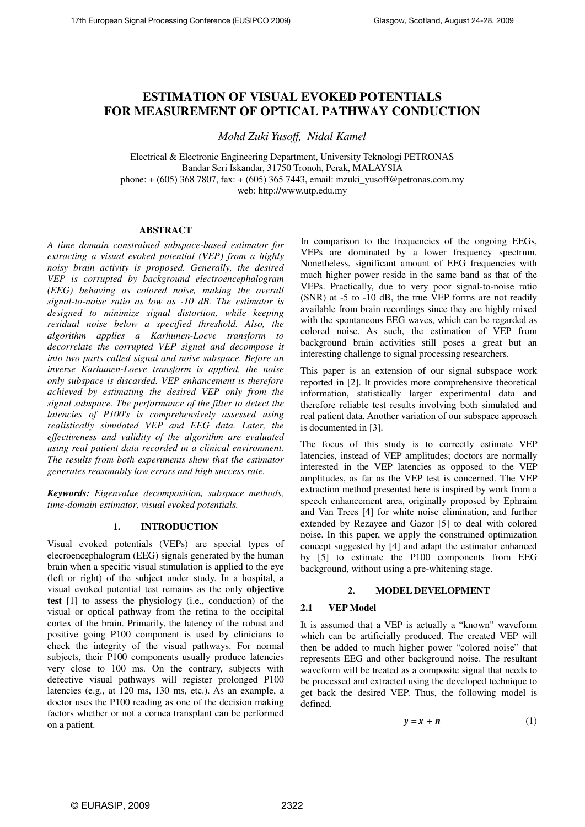# **ESTIMATION OF VISUAL EVOKED POTENTIALS FOR MEASUREMENT OF OPTICAL PATHWAY CONDUCTION**

*Mohd Zuki Yusoff, Nidal Kamel* 

Electrical & Electronic Engineering Department, University Teknologi PETRONAS Bandar Seri Iskandar, 31750 Tronoh, Perak, MALAYSIA phone: + (605) 368 7807, fax: + (605) 365 7443, email: mzuki\_yusoff@petronas.com.my web: http://www.utp.edu.my

## **ABSTRACT**

*A time domain constrained subspace-based estimator for extracting a visual evoked potential (VEP) from a highly noisy brain activity is proposed. Generally, the desired VEP is corrupted by background electroencephalogram (EEG) behaving as colored noise, making the overall signal-to-noise ratio as low as -10 dB. The estimator is designed to minimize signal distortion, while keeping residual noise below a specified threshold. Also, the algorithm applies a Karhunen-Loeve transform to decorrelate the corrupted VEP signal and decompose it into two parts called signal and noise subspace. Before an inverse Karhunen-Loeve transform is applied, the noise only subspace is discarded. VEP enhancement is therefore achieved by estimating the desired VEP only from the signal subspace. The performance of the filter to detect the latencies of P100's is comprehensively assessed using realistically simulated VEP and EEG data. Later, the effectiveness and validity of the algorithm are evaluated using real patient data recorded in a clinical environment. The results from both experiments show that the estimator generates reasonably low errors and high success rate.* 

*Keywords: Eigenvalue decomposition, subspace methods, time-domain estimator, visual evoked potentials.* 

## **1. INTRODUCTION**

Visual evoked potentials (VEPs) are special types of elecroencephalogram (EEG) signals generated by the human brain when a specific visual stimulation is applied to the eye (left or right) of the subject under study. In a hospital, a visual evoked potential test remains as the only **objective test** [1] to assess the physiology (i.e., conduction) of the visual or optical pathway from the retina to the occipital cortex of the brain. Primarily, the latency of the robust and positive going P100 component is used by clinicians to check the integrity of the visual pathways. For normal subjects, their P100 components usually produce latencies very close to 100 ms. On the contrary, subjects with defective visual pathways will register prolonged P100 latencies (e.g., at 120 ms, 130 ms, etc.). As an example, a doctor uses the P100 reading as one of the decision making factors whether or not a cornea transplant can be performed on a patient.

In comparison to the frequencies of the ongoing EEGs, VEPs are dominated by a lower frequency spectrum. Nonetheless, significant amount of EEG frequencies with much higher power reside in the same band as that of the VEPs. Practically, due to very poor signal-to-noise ratio (SNR) at -5 to -10 dB, the true VEP forms are not readily available from brain recordings since they are highly mixed with the spontaneous EEG waves, which can be regarded as colored noise. As such, the estimation of VEP from background brain activities still poses a great but an interesting challenge to signal processing researchers.

This paper is an extension of our signal subspace work reported in [2]. It provides more comprehensive theoretical information, statistically larger experimental data and therefore reliable test results involving both simulated and real patient data. Another variation of our subspace approach is documented in [3].

The focus of this study is to correctly estimate VEP latencies, instead of VEP amplitudes; doctors are normally interested in the VEP latencies as opposed to the VEP amplitudes, as far as the VEP test is concerned. The VEP extraction method presented here is inspired by work from a speech enhancement area, originally proposed by Ephraim and Van Trees [4] for white noise elimination, and further extended by Rezayee and Gazor [5] to deal with colored noise. In this paper, we apply the constrained optimization concept suggested by [4] and adapt the estimator enhanced by [5] to estimate the P100 components from EEG background, without using a pre-whitening stage.

# **2. MODEL DEVELOPMENT**

# **2.1 VEP Model**

It is assumed that a VEP is actually a "known" waveform which can be artificially produced. The created VEP will then be added to much higher power "colored noise" that represents EEG and other background noise. The resultant waveform will be treated as a composite signal that needs to be processed and extracted using the developed technique to get back the desired VEP. Thus, the following model is defined.

$$
y = x + n \tag{1}
$$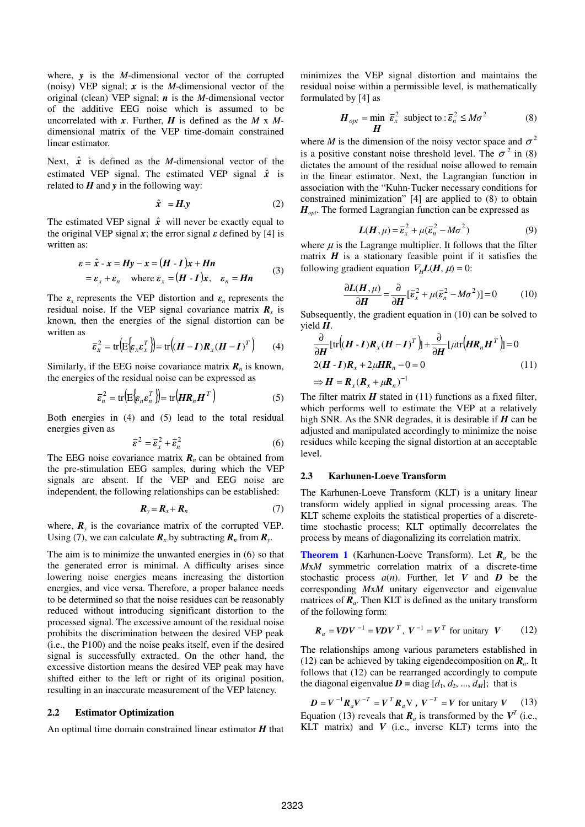where, *y* is the *M*-dimensional vector of the corrupted (noisy) VEP signal; *x* is the *M*-dimensional vector of the original (clean) VEP signal; *n* is the *M*-dimensional vector of the additive EEG noise which is assumed to be uncorrelated with *x*. Further, *H* is defined as the *M* x *M*dimensional matrix of the VEP time-domain constrained linear estimator.

Next,  $\hat{x}$  is defined as the *M*-dimensional vector of the estimated VEP signal. The estimated VEP signal  $\hat{x}$  is related to  $H$  and  $y$  in the following way:

$$
\hat{x} = H.y \tag{2}
$$

The estimated VEP signal  $\hat{x}$  will never be exactly equal to the original VEP signal x; the error signal  $\varepsilon$  defined by [4] is written as:

$$
\varepsilon = \hat{x} - x = Hy - x = (H - I)x + Hn
$$
  
=  $\varepsilon_x + \varepsilon_n$  where  $\varepsilon_x = (H - I)x$ ,  $\varepsilon_n = Hn$  (3)

The  $\varepsilon_x$  represents the VEP distortion and  $\varepsilon_n$  represents the residual noise. If the VEP signal covariance matrix  $\mathbf{R}_x$  is known, then the energies of the signal distortion can be written as

$$
\overline{\varepsilon}_x^2 = \text{tr}\Big(\mathbf{E}\Big\{\varepsilon_x \varepsilon_x^T\Big\}\Big) = \text{tr}\Big((\mathbf{H} - \mathbf{I})\mathbf{R}_x(\mathbf{H} - \mathbf{I})^T\Big) \qquad (4)
$$

Similarly, if the EEG noise covariance matrix  $\mathbf{R}_n$  is known, the energies of the residual noise can be expressed as

$$
\bar{\varepsilon}_n^2 = \text{tr}\Big(\mathbb{E}\Big\{\varepsilon_n \varepsilon_n^T\Big\}\Big) = \text{tr}\Big(HR_n H^T\Big) \tag{5}
$$

Both energies in (4) and (5) lead to the total residual energies given as

$$
\overline{\boldsymbol{\varepsilon}}^2 = \overline{\boldsymbol{\varepsilon}}_x^2 + \overline{\boldsymbol{\varepsilon}}_n^2 \tag{6}
$$

The EEG noise covariance matrix  $\mathbf{R}_n$  can be obtained from the pre-stimulation EEG samples, during which the VEP signals are absent. If the VEP and EEG noise are independent, the following relationships can be established:

$$
\boldsymbol{R}_{y} = \boldsymbol{R}_{x} + \boldsymbol{R}_{n} \tag{7}
$$

where,  $\mathbf{R}_y$  is the covariance matrix of the corrupted VEP. Using (7), we can calculate  $\mathbf{R}_x$  by subtracting  $\mathbf{R}_n$  from  $\mathbf{R}_y$ .

The aim is to minimize the unwanted energies in (6) so that the generated error is minimal. A difficulty arises since lowering noise energies means increasing the distortion energies, and vice versa. Therefore, a proper balance needs to be determined so that the noise residues can be reasonably reduced without introducing significant distortion to the processed signal. The excessive amount of the residual noise prohibits the discrimination between the desired VEP peak (i.e., the P100) and the noise peaks itself, even if the desired signal is successfully extracted. On the other hand, the excessive distortion means the desired VEP peak may have shifted either to the left or right of its original position, resulting in an inaccurate measurement of the VEP latency.

## **2.2 Estimator Optimization**

An optimal time domain constrained linear estimator *H* that

minimizes the VEP signal distortion and maintains the residual noise within a permissible level, is mathematically formulated by [4] as

$$
\boldsymbol{H}_{opt} = \min_{\boldsymbol{H}} \ \boldsymbol{\bar{\varepsilon}}_x^2 \ \text{subject to} : \boldsymbol{\bar{\varepsilon}}_n^2 \le M\sigma^2 \tag{8}
$$

where *M* is the dimension of the noisy vector space and  $\sigma^2$ is a positive constant noise threshold level. The  $\sigma^2$  in (8) dictates the amount of the residual noise allowed to remain in the linear estimator. Next, the Lagrangian function in association with the "Kuhn-Tucker necessary conditions for constrained minimization" [4] are applied to (8) to obtain *Hopt*. The formed Lagrangian function can be expressed as

$$
L(H, \mu) = \overline{\varepsilon}_x^2 + \mu(\overline{\varepsilon}_n^2 - M\sigma^2)
$$
 (9)

where  $\mu$  is the Lagrange multiplier. It follows that the filter matrix  $H$  is a stationary feasible point if it satisfies the following gradient equation  $\nabla$ <sub>H</sub>**L**(**H**,  $\mu$ ) = 0:

$$
\frac{\partial L(H,\mu)}{\partial H} = \frac{\partial}{\partial H} [\bar{\varepsilon}_x^2 + \mu (\bar{\varepsilon}_n^2 - M\sigma^2)] = 0 \tag{10}
$$

Subsequently, the gradient equation in (10) can be solved to yield *H*.

$$
\frac{\partial}{\partial H} [\text{tr}[(H - I)R_x (H - I)^T]] + \frac{\partial}{\partial H} [\mu \text{tr}[HR_n H^T]] = 0
$$
  
2(H - I)R<sub>x</sub> + 2\mu HR<sub>n</sub> - 0 = 0 (11)  

$$
\Rightarrow H = R_x (R_x + \mu R_n)^{-1}
$$

The filter matrix  $H$  stated in (11) functions as a fixed filter, which performs well to estimate the VEP at a relatively high SNR. As the SNR degrades, it is desirable if *H* can be adjusted and manipulated accordingly to minimize the noise residues while keeping the signal distortion at an acceptable level.

## **2.3 Karhunen-Loeve Transform**

The Karhunen-Loeve Transform (KLT) is a unitary linear transform widely applied in signal processing areas. The KLT scheme exploits the statistical properties of a discretetime stochastic process; KLT optimally decorrelates the process by means of diagonalizing its correlation matrix.

**Theorem 1** (Karhunen-Loeve Transform). Let *Ra* be the *M*x*M* symmetric correlation matrix of a discrete-time stochastic process  $a(n)$ . Further, let *V* and *D* be the corresponding *M*x*M* unitary eigenvector and eigenvalue matrices of  $\overline{R}_a$ . Then KLT is defined as the unitary transform of the following form:

$$
\boldsymbol{R}_a = \boldsymbol{V} \boldsymbol{D} \boldsymbol{V}^{-1} = \boldsymbol{V} \boldsymbol{D} \boldsymbol{V}^T, \ \boldsymbol{V}^{-1} = \boldsymbol{V}^T \text{ for unitary } \boldsymbol{V} \tag{12}
$$

The relationships among various parameters established in (12) can be achieved by taking eigendecomposition on *Ra*. It follows that (12) can be rearranged accordingly to compute the diagonal eigenvalue  $D = \text{diag } [d_1, d_2, ..., d_M]$ ; that is

 $D = V^{-1}R_a V^{-T} = V^T R_a V$ ,  $V^{-T} = V$  for unitary *V* (13) Equation (13) reveals that  $\mathbf{R}_a$  is transformed by the  $V^T$  (i.e., KLT matrix) and  $V$  (i.e., inverse KLT) terms into the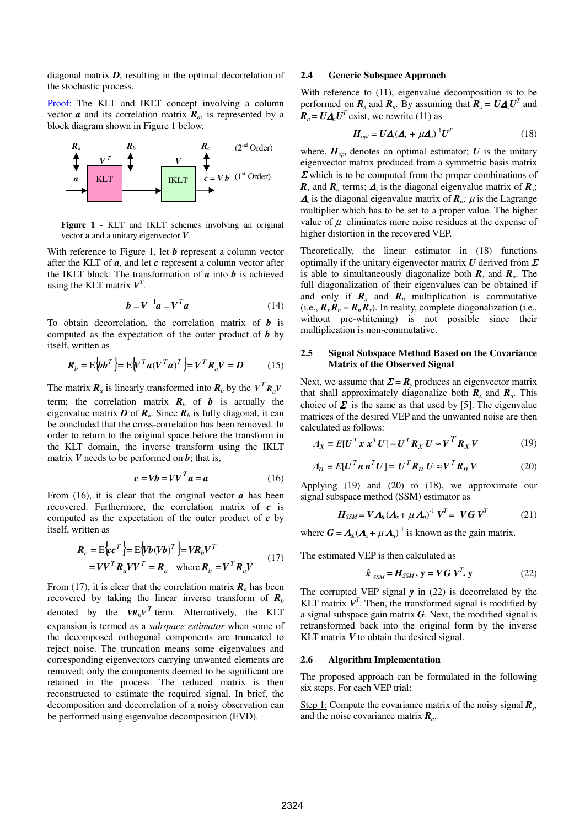diagonal matrix *D*, resulting in the optimal decorrelation of the stochastic process.

Proof: The KLT and IKLT concept involving a column vector  $\boldsymbol{a}$  and its correlation matrix  $\boldsymbol{R}_a$ , is represented by a block diagram shown in Figure 1 below.



**Figure 1** - KLT and IKLT schemes involving an original vector **a** and a unitary eigenvector *V*.

With reference to Figure 1, let *b* represent a column vector after the KLT of *a*, and let *c* represent a column vector after the IKLT block. The transformation of  $a$  into  $b$  is achieved using the KLT matrix  $V^T$ .

$$
\boldsymbol{b} = \boldsymbol{V}^{-1}\boldsymbol{a} = \boldsymbol{V}^T\boldsymbol{a} \tag{14}
$$

To obtain decorrelation, the correlation matrix of *b* is computed as the expectation of the outer product of *b* by itself, written as

$$
\boldsymbol{R}_b = \mathbf{E} \Big\{ \boldsymbol{b} \boldsymbol{b}^T \Big\} = \mathbf{E} \Big\{ \boldsymbol{V}^T \boldsymbol{a} (\boldsymbol{V}^T \boldsymbol{a})^T \Big\} = \boldsymbol{V}^T \boldsymbol{R}_a \boldsymbol{V} = \boldsymbol{D} \tag{15}
$$

The matrix  $\mathbf{R}_a$  is linearly transformed into  $\mathbf{R}_b$  by the  $V^T \mathbf{R}_a V$ term; the correlation matrix  $\mathbf{R}_b$  of *b* is actually the eigenvalue matrix  $D$  of  $R_a$ . Since  $R_b$  is fully diagonal, it can be concluded that the cross-correlation has been removed. In order to return to the original space before the transform in the KLT domain, the inverse transform using the IKLT matrix  $V$  needs to be performed on  $b$ ; that is,

$$
c = Vb = VV^T a = a \tag{16}
$$

From  $(16)$ , it is clear that the original vector  $\boldsymbol{a}$  has been recovered. Furthermore, the correlation matrix of *c* is computed as the expectation of the outer product of *c* by itself, written as

$$
\mathbf{R}_c = \mathbf{E} \{ c \mathbf{c}^T \} = \mathbf{E} \{ V \mathbf{b} (V \mathbf{b})^T \} = V \mathbf{R}_b V^T
$$
\n
$$
= V V^T \mathbf{R}_a V V^T = \mathbf{R}_a \quad \text{where } \mathbf{R}_b = V^T \mathbf{R}_a V \tag{17}
$$

From (17), it is clear that the correlation matrix  $\mathbf{R}_a$  has been recovered by taking the linear inverse transform of  $R_b$ denoted by the  $VR_bV^T$  term. Alternatively, the KLT expansion is termed as a *subspace estimator* when some of the decomposed orthogonal components are truncated to reject noise. The truncation means some eigenvalues and corresponding eigenvectors carrying unwanted elements are removed; only the components deemed to be significant are retained in the process. The reduced matrix is then reconstructed to estimate the required signal. In brief, the decomposition and decorrelation of a noisy observation can be performed using eigenvalue decomposition (EVD).

## **2.4 Generic Subspace Approach**

With reference to (11), eigenvalue decomposition is to be performed on  $\mathbf{R}_x$  and  $\mathbf{R}_n$ . By assuming that  $\mathbf{R}_x = \mathbf{U} \mathbf{\Delta}_x \mathbf{U}^T$  and  $R_n = U \Delta_n U^T$  exist, we rewrite (11) as

$$
H_{opt} = U \Delta_x (\Delta_x + \mu \Delta_n)^{-1} U^T
$$
 (18)

where,  $H_{opt}$  denotes an optimal estimator;  $U$  is the unitary eigenvector matrix produced from a symmetric basis matrix  $\Sigma$  which is to be computed from the proper combinations of  $\mathbf{R}_x$  and  $\mathbf{R}_n$  terms;  $\mathbf{\Delta}_x$  is the diagonal eigenvalue matrix of  $\mathbf{R}_x$ ;  $\Delta_n$  is the diagonal eigenvalue matrix of  $\mathbf{R}_n$ ;  $\mu$  is the Lagrange multiplier which has to be set to a proper value. The higher value of  $\mu$  eliminates more noise residues at the expense of higher distortion in the recovered VEP.

Theoretically, the linear estimator in (18) functions optimally if the unitary eigenvector matrix *U* derived from <sup>Σ</sup> is able to simultaneously diagonalize both  $\mathbf{R}_x$  and  $\mathbf{R}_n$ . The full diagonalization of their eigenvalues can be obtained if and only if  $\mathbf{R}_x$  and  $\mathbf{R}_n$  multiplication is commutative (i.e.,  $\mathbf{R}_r \mathbf{R}_n = \mathbf{R}_n \mathbf{R}_r$ ). In reality, complete diagonalization (i.e., without pre-whitening) is not possible since their multiplication is non-commutative.

## **2.5 Signal Subspace Method Based on the Covariance Matrix of the Observed Signal**

Next, we assume that  $\Sigma = R$ <sup>*y*</sup> produces an eigenvector matrix that shall approximately diagonalize both  $\mathbf{R}_r$  and  $\mathbf{R}_n$ . This choice of  $\Sigma$  is the same as that used by [5]. The eigenvalue matrices of the desired VEP and the unwanted noise are then calculated as follows:

$$
A_x = E[U^T x x^T U] = U^T R_x U \approx V^T R_x V \tag{19}
$$

$$
A_n = E[U^T n n^T U] = U^T R_n U \approx V^T R_n V \tag{20}
$$

Applying (19) and (20) to (18), we approximate our signal subspace method (SSM) estimator as

$$
\boldsymbol{H}_{SSM} = \boldsymbol{V} \boldsymbol{\Lambda}_{\mathbf{x}} (\boldsymbol{\Lambda}_{\mathbf{x}} + \mu \boldsymbol{\Lambda}_{n})^{\mathrm{T}} \boldsymbol{V}^T = \boldsymbol{V} \boldsymbol{G} \boldsymbol{V}^T \qquad (21)
$$

where  $G = \Lambda_{\mathbf{x}} (\Lambda_{\mathbf{x}} + \mu \Lambda_{\mathbf{n}})^{-1}$  is known as the gain matrix.

The estimated VEP is then calculated as

$$
\hat{\mathbf{x}}_{SSM} = \mathbf{H}_{SSM} \cdot \mathbf{y} = \mathbf{V} \mathbf{G} \mathbf{V}^T \cdot \mathbf{y}
$$
 (22)

The corrupted VEP signal *y* in (22) is decorrelated by the KLT matrix  $V<sup>T</sup>$ . Then, the transformed signal is modified by a signal subspace gain matrix *G*. Next, the modified signal is retransformed back into the original form by the inverse KLT matrix *V* to obtain the desired signal.

#### **2.6 Algorithm Implementation**

The proposed approach can be formulated in the following six steps. For each VEP trial:

Step 1: Compute the covariance matrix of the noisy signal  $\mathbf{R}_y$ , and the noise covariance matrix *Rn*.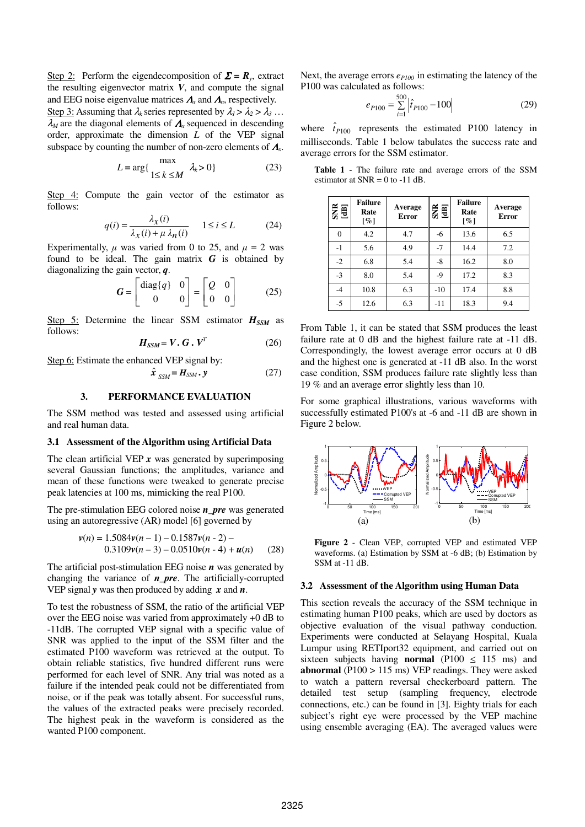Step 2: Perform the eigendecomposition of  $\Sigma = R_y$ , extract the resulting eigenvector matrix *V*, and compute the signal and EEG noise eigenvalue matrices <sup>Λ</sup>*<sup>x</sup>* and <sup>Λ</sup>*n*, respectively. Step 3: Assuming that  $\lambda_k$  series represented by  $\lambda_1 > \lambda_2 > \lambda_3$ ... <sup>λ</sup>*<sup>M</sup>* are the diagonal elements of <sup>Λ</sup>*<sup>x</sup>* sequenced in descending order, approximate the dimension *L* of the VEP signal subspace by counting the number of non-zero elements of <sup>Λ</sup>*<sup>x</sup>* .

$$
L = \arg\{\max_{1 \le k \le M} \lambda_k > 0\}
$$
 (23)

Step 4: Compute the gain vector of the estimator as follows:

$$
q(i) = \frac{\lambda_X(i)}{\lambda_X(i) + \mu \lambda_n(i)} \quad 1 \le i \le L \tag{24}
$$

Experimentally,  $\mu$  was varied from 0 to 25, and  $\mu = 2$  was found to be ideal. The gain matrix *G* is obtained by diagonalizing the gain vector, *q*.

$$
\boldsymbol{G} = \begin{bmatrix} \text{diag}\{q\} & 0 \\ 0 & 0 \end{bmatrix} = \begin{bmatrix} Q & 0 \\ 0 & 0 \end{bmatrix} \tag{25}
$$

Step 5: Determine the linear SSM estimator  $H_{SSM}$  as follows:

$$
H_{SSM} = V \cdot G \cdot V^T \tag{26}
$$

Step 6: Estimate the enhanced VEP signal by:

$$
\hat{\boldsymbol{x}}_{SSM} = \boldsymbol{H}_{SSM} \cdot \mathbf{y} \tag{27}
$$

# **3. PERFORMANCE EVALUATION**

The SSM method was tested and assessed using artificial and real human data.

#### **3.1 Assessment of the Algorithm using Artificial Data**

The clean artificial VEP *x* was generated by superimposing several Gaussian functions; the amplitudes, variance and mean of these functions were tweaked to generate precise peak latencies at 100 ms, mimicking the real P100.

The pre-stimulation EEG colored noise *n\_pre* was generated using an autoregressive (AR) model [6] governed by

$$
v(n) = 1.5084v(n-1) - 0.1587v(n-2) -
$$
  
0.3109v(n-3) - 0.0510v(n-4) + **u**(n) (28)

The artificial post-stimulation EEG noise *n* was generated by changing the variance of *n\_pre*. The artificially-corrupted VEP signal *y* was then produced by adding *x* and *n*.

To test the robustness of SSM, the ratio of the artificial VEP over the EEG noise was varied from approximately +0 dB to -11dB. The corrupted VEP signal with a specific value of SNR was applied to the input of the SSM filter and the estimated P100 waveform was retrieved at the output. To obtain reliable statistics, five hundred different runs were performed for each level of SNR. Any trial was noted as a failure if the intended peak could not be differentiated from noise, or if the peak was totally absent. For successful runs, the values of the extracted peaks were precisely recorded. The highest peak in the waveform is considered as the wanted P100 component.

Next, the average errors *eP100* in estimating the latency of the P100 was calculated as follows:

$$
e_{P100} = \sum_{i=1}^{500} |\hat{t}_{P100} - 100| \tag{29}
$$

where  $\hat{t}_{P100}$  represents the estimated P100 latency in milliseconds. Table 1 below tabulates the success rate and average errors for the SSM estimator.

**Table 1** - The failure rate and average errors of the SSM estimator at  $SNR = 0$  to -11 dB.

| $\frac{1}{2}$ | <b>Failure</b><br>Rate<br>$[\%]$ | Average<br><b>Error</b> | $rac{3}{2}$ | <b>Failure</b><br>Rate<br>$\lceil \% \rceil$ | Average<br><b>Error</b> |
|---------------|----------------------------------|-------------------------|-------------|----------------------------------------------|-------------------------|
| 0             | 4.2                              | 4.7                     | -6          | 13.6                                         | 6.5                     |
| $-1$          | 5.6                              | 4.9                     | $-7$        | 14.4                                         | 7.2                     |
| $-2$          | 6.8                              | 5.4                     | $-8$        | 16.2                                         | 8.0                     |
| $-3$          | 8.0                              | 5.4                     | $-9$        | 17.2                                         | 8.3                     |
| $-4$          | 10.8                             | 6.3                     | $-10$       | 17.4                                         | 8.8                     |
| $-5$          | 12.6                             | 6.3                     | $-11$       | 18.3                                         | 9.4                     |

From Table 1, it can be stated that SSM produces the least failure rate at 0 dB and the highest failure rate at -11 dB. Correspondingly, the lowest average error occurs at 0 dB and the highest one is generated at -11 dB also. In the worst case condition, SSM produces failure rate slightly less than 19 % and an average error slightly less than 10.

For some graphical illustrations, various waveforms with successfully estimated P100's at -6 and -11 dB are shown in Figure 2 below.



**Figure 2** - Clean VEP, corrupted VEP and estimated VEP waveforms. (a) Estimation by SSM at -6 dB; (b) Estimation by SSM at -11 dB.

#### **3.2 Assessment of the Algorithm using Human Data**

This section reveals the accuracy of the SSM technique in estimating human P100 peaks, which are used by doctors as objective evaluation of the visual pathway conduction. Experiments were conducted at Selayang Hospital, Kuala Lumpur using RETIport32 equipment, and carried out on sixteen subjects having **normal** (P100  $\leq$  115 ms) and **abnormal** (P100 > 115 ms) VEP readings. They were asked to watch a pattern reversal checkerboard pattern. The detailed test setup (sampling frequency, electrode connections, etc.) can be found in [3]. Eighty trials for each subject's right eye were processed by the VEP machine using ensemble averaging (EA). The averaged values were